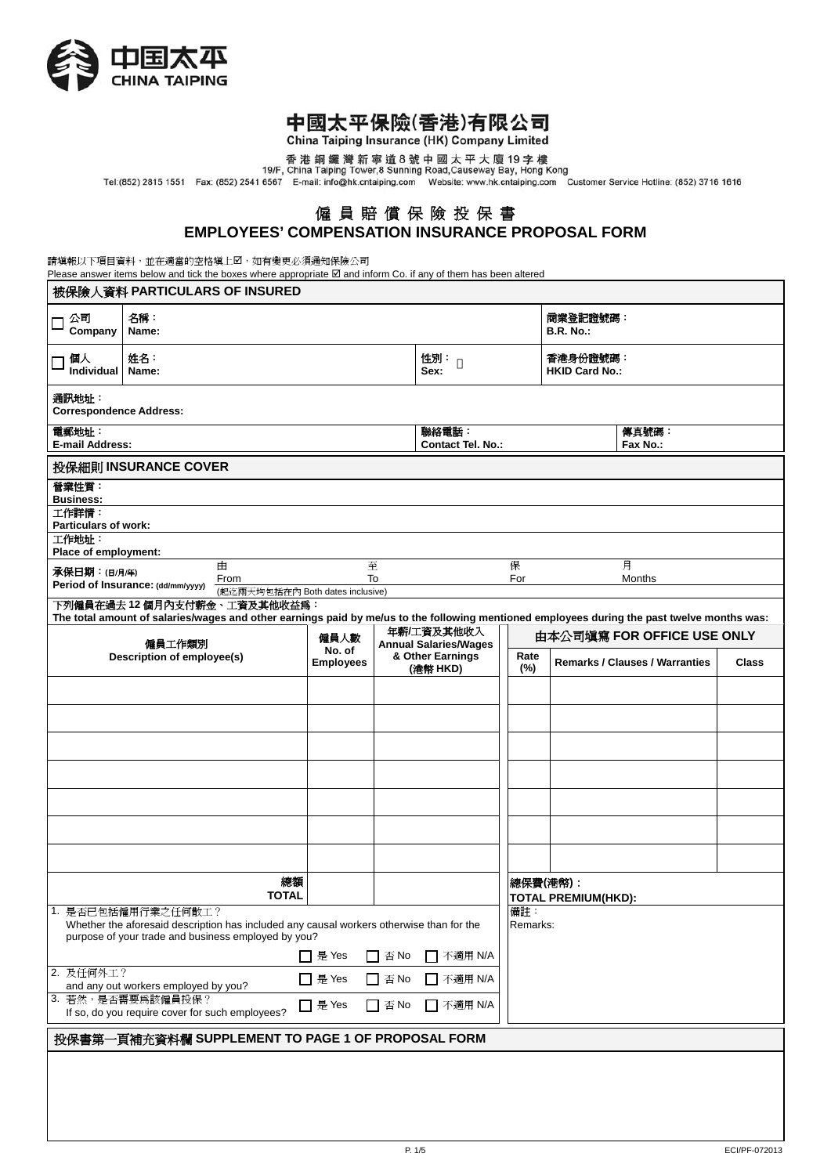

# 中國太平保險(香港)有限公司

China Taiping Insurance (HK) Company Limited

香港銅鑼灣新寧道8號中國太平大廈19字樓<br>19/F, China Taiping Tower,8 Sunning Road,Causeway Bay, Hong Kong<br>Tel:(852) 2815 1551 Fax: (852) 2541 6567 E-mail: info@hk.cntaiping.com Website: www.hk.cntaiping.com Customer Service Hotline: (852) 37

## 僱 員 賠 償 保 險 投 保 書 **EMPLOYEES' COMPENSATION INSURANCE PROPOSAL FORM**

請填報以下項目資料,並在適當的空格填上2,如有變更必須通知保險公司

Please answer items below and tick the boxes where appropriate  $\boxtimes$  and inform Co. if any of them has been altered

| 被保險人資料 PARTICULARS OF INSURED                                                                                                                                                            |                                                  |                                                                |                            |    |                                            |          |             |                                        |                                                                                                                                             |              |  |
|------------------------------------------------------------------------------------------------------------------------------------------------------------------------------------------|--------------------------------------------------|----------------------------------------------------------------|----------------------------|----|--------------------------------------------|----------|-------------|----------------------------------------|---------------------------------------------------------------------------------------------------------------------------------------------|--------------|--|
| 公司<br>Г<br>Company                                                                                                                                                                       | 名稱:<br>Name:                                     |                                                                |                            |    |                                            |          |             | 商業登記證號碼:<br><b>B.R. No.:</b>           |                                                                                                                                             |              |  |
| 個人<br>Individual                                                                                                                                                                         | 姓名:<br>Name:                                     |                                                                |                            |    | 性別:<br>Sex:                                |          |             | 香港身份證號碼:<br><b>HKID Card No.:</b>      |                                                                                                                                             |              |  |
| 通訊地址:<br><b>Correspondence Address:</b>                                                                                                                                                  |                                                  |                                                                |                            |    |                                            |          |             |                                        |                                                                                                                                             |              |  |
| 電郵地址:<br>聯絡電話:<br>傳真號碼:<br><b>E-mail Address:</b><br><b>Contact Tel. No.:</b><br>Fax No.:                                                                                                |                                                  |                                                                |                            |    |                                            |          |             |                                        |                                                                                                                                             |              |  |
|                                                                                                                                                                                          | 投保細則 INSURANCE COVER                             |                                                                |                            |    |                                            |          |             |                                        |                                                                                                                                             |              |  |
| 營業性質:<br><b>Business:</b><br>工作詳情:                                                                                                                                                       |                                                  |                                                                |                            |    |                                            |          |             |                                        |                                                                                                                                             |              |  |
| <b>Particulars of work:</b>                                                                                                                                                              |                                                  |                                                                |                            |    |                                            |          |             |                                        |                                                                                                                                             |              |  |
| 工作地址:<br>Place of employment:                                                                                                                                                            |                                                  |                                                                |                            |    |                                            |          |             |                                        |                                                                                                                                             |              |  |
| 承保日期:(日/月/年)                                                                                                                                                                             |                                                  | 由<br>From                                                      | 至                          | To |                                            | 保<br>For |             |                                        | 月<br>Months                                                                                                                                 |              |  |
|                                                                                                                                                                                          | Period of Insurance: (dd/mm/yyyy)                | (起迄兩天均包括在內 Both dates inclusive)<br>下列僱員在過去12個月內支付薪金、工資及其他收益爲: |                            |    |                                            |          |             |                                        |                                                                                                                                             |              |  |
|                                                                                                                                                                                          |                                                  |                                                                |                            |    |                                            |          |             |                                        | The total amount of salaries/wages and other earnings paid by me/us to the following mentioned employees during the past twelve months was: |              |  |
|                                                                                                                                                                                          | 僱員工作類別                                           |                                                                | 僱員人數                       |    | 年薪/工資及其他收入<br><b>Annual Salaries/Wages</b> |          |             |                                        | 由本公司填寫 FOR OFFICE USE ONLY                                                                                                                  |              |  |
|                                                                                                                                                                                          | Description of employee(s)                       |                                                                | No. of<br><b>Employees</b> |    | & Other Earnings<br>(港幣 HKD)               |          | Rate<br>(%) |                                        | <b>Remarks / Clauses / Warranties</b>                                                                                                       | <b>Class</b> |  |
|                                                                                                                                                                                          |                                                  |                                                                |                            |    |                                            |          |             |                                        |                                                                                                                                             |              |  |
|                                                                                                                                                                                          |                                                  |                                                                |                            |    |                                            |          |             |                                        |                                                                                                                                             |              |  |
|                                                                                                                                                                                          |                                                  |                                                                |                            |    |                                            |          |             |                                        |                                                                                                                                             |              |  |
|                                                                                                                                                                                          |                                                  |                                                                |                            |    |                                            |          |             |                                        |                                                                                                                                             |              |  |
|                                                                                                                                                                                          |                                                  |                                                                |                            |    |                                            |          |             |                                        |                                                                                                                                             |              |  |
|                                                                                                                                                                                          |                                                  |                                                                |                            |    |                                            |          |             |                                        |                                                                                                                                             |              |  |
|                                                                                                                                                                                          |                                                  |                                                                |                            |    |                                            |          |             |                                        |                                                                                                                                             |              |  |
|                                                                                                                                                                                          |                                                  |                                                                |                            |    |                                            |          |             |                                        |                                                                                                                                             |              |  |
|                                                                                                                                                                                          |                                                  | 總額<br><b>TOTAL</b>                                             |                            |    |                                            |          |             | 總保費(港幣):<br><b>TOTAL PREMIUM(HKD):</b> |                                                                                                                                             |              |  |
| 1. 是否已包括僱用行業之任何散工?<br>備註:<br>Whether the aforesaid description has included any causal workers otherwise than for the<br>Remarks:<br>purpose of your trade and business employed by you? |                                                  |                                                                |                            |    |                                            |          |             |                                        |                                                                                                                                             |              |  |
|                                                                                                                                                                                          | □ 是 Yes<br>$\Box$ 否 No<br>不適用 N/A                |                                                                |                            |    |                                            |          |             |                                        |                                                                                                                                             |              |  |
|                                                                                                                                                                                          | 2. 及任何外工?<br>ヿ 是 Yes<br>$\Box$ 否 No<br>ヿ 不適用 N/A |                                                                |                            |    |                                            |          |             |                                        |                                                                                                                                             |              |  |
| and any out workers employed by you?<br>3. 若然,是否需要為該僱員投保?<br>□ 是 Yes<br>□ 否 No<br>□ 不適用 N/A<br>If so, do you require cover for such employees?                                           |                                                  |                                                                |                            |    |                                            |          |             |                                        |                                                                                                                                             |              |  |
| 投保書第一頁補充資料欄 SUPPLEMENT TO PAGE 1 OF PROPOSAL FORM                                                                                                                                        |                                                  |                                                                |                            |    |                                            |          |             |                                        |                                                                                                                                             |              |  |
|                                                                                                                                                                                          |                                                  |                                                                |                            |    |                                            |          |             |                                        |                                                                                                                                             |              |  |
|                                                                                                                                                                                          |                                                  |                                                                |                            |    |                                            |          |             |                                        |                                                                                                                                             |              |  |
|                                                                                                                                                                                          |                                                  |                                                                |                            |    |                                            |          |             |                                        |                                                                                                                                             |              |  |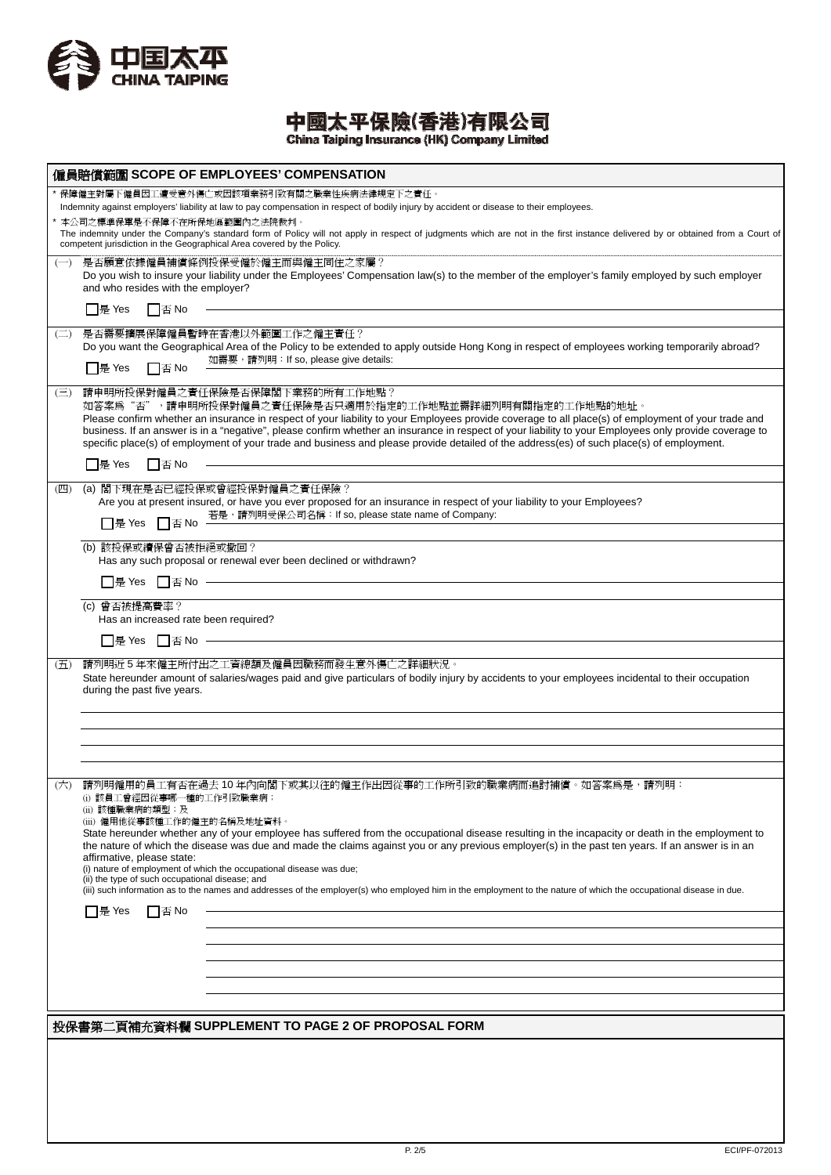

中國太平保險(香港)有限公司<br>China Taiping Insurance (HK) Company Limited

|                        |                                                                                                                                                             | 僱員賠償範圍 SCOPE OF EMPLOYEES' COMPENSATION                                                                                                                                                                                                                                                                                                                                                                                                                                                                                                                |               |
|------------------------|-------------------------------------------------------------------------------------------------------------------------------------------------------------|--------------------------------------------------------------------------------------------------------------------------------------------------------------------------------------------------------------------------------------------------------------------------------------------------------------------------------------------------------------------------------------------------------------------------------------------------------------------------------------------------------------------------------------------------------|---------------|
|                        | 本公司之標準保單是不保障不在所保地區範圍內之法院裁判。                                                                                                                                 | 保障僱主對屬下僱員因工遭受意外傷亡或因該項業務引致有關之職業性疾病法律規定下之責任。<br>Indemnity against employers' liability at law to pay compensation in respect of bodily injury by accident or disease to their employees.<br>The indemnity under the Company's standard form of Policy will not apply in respect of judgments which are not in the first instance delivered by or obtained from a Court of<br>competent jurisdiction in the Geographical Area covered by the Policy.                                                                                                      |               |
| $(-)$                  | and who resides with the employer?                                                                                                                          | 是否願意依據僱員補償條例投保受僱於僱主而與僱主同住之家屬?<br>Do you wish to insure your liability under the Employees' Compensation law(s) to the member of the employer's family employed by such employer                                                                                                                                                                                                                                                                                                                                                                        |               |
|                        | $\Box$ 是 Yes<br>$\Box$ $\overline{\mathbf{B}}$ No                                                                                                           |                                                                                                                                                                                                                                                                                                                                                                                                                                                                                                                                                        |               |
| $\left(\square\right)$ | $\Box$ 是 Yes<br>□否No                                                                                                                                        | 是否需要擴展保障僱員暫時在香港以外範圍工作之僱主責任?<br>Do you want the Geographical Area of the Policy to be extended to apply outside Hong Kong in respect of employees working temporarily abroad?<br>如需要,請列明: If so, please give details:                                                                                                                                                                                                                                                                                                                                   |               |
| $(\equiv)$             |                                                                                                                                                             | 請申明所投保對僱員之責任保險是否保障閣下業務的所有工作地點?<br>如答案爲"否",請申明所投保對僱員之責任保險是否只適用於指定的工作地點並需詳細列明有關指定的工作地點的地址。<br>Please confirm whether an insurance in respect of your liability to your Employees provide coverage to all place(s) of employment of your trade and<br>business. If an answer is in a "negative", please confirm whether an insurance in respect of your liability to your Employees only provide coverage to<br>specific place(s) of employment of your trade and business and please provide detailed of the address(es) of such place(s) of employment. |               |
|                        | □是 Yes<br>□否No                                                                                                                                              |                                                                                                                                                                                                                                                                                                                                                                                                                                                                                                                                                        |               |
| (四)                    | □是 Yes □否 No                                                                                                                                                | (a) 閣下現在是否已經投保或曾經投保對僱員之責任保險?<br>Are you at present insured, or have you ever proposed for an insurance in respect of your liability to your Employees?<br>若是,請列明受保公司名稱: If so, please state name of Company:                                                                                                                                                                                                                                                                                                                                           |               |
|                        | (b) 該投保或續保曾否被拒絕或撤回?                                                                                                                                         |                                                                                                                                                                                                                                                                                                                                                                                                                                                                                                                                                        |               |
|                        |                                                                                                                                                             | Has any such proposal or renewal ever been declined or withdrawn?                                                                                                                                                                                                                                                                                                                                                                                                                                                                                      |               |
|                        |                                                                                                                                                             |                                                                                                                                                                                                                                                                                                                                                                                                                                                                                                                                                        |               |
|                        | (c) 曾否被提高費率?<br>Has an increased rate been required?                                                                                                        |                                                                                                                                                                                                                                                                                                                                                                                                                                                                                                                                                        |               |
|                        | □是 Yes □否 No —                                                                                                                                              |                                                                                                                                                                                                                                                                                                                                                                                                                                                                                                                                                        |               |
| (五)                    | during the past five years.                                                                                                                                 | 請列明近5年來僱主所付出之工資總額及僱員因職務而發生意外傷亡之詳細狀況。<br>State hereunder amount of salaries/wages paid and give particulars of bodily injury by accidents to your employees incidental to their occupation                                                                                                                                                                                                                                                                                                                                                              |               |
|                        |                                                                                                                                                             |                                                                                                                                                                                                                                                                                                                                                                                                                                                                                                                                                        |               |
|                        |                                                                                                                                                             |                                                                                                                                                                                                                                                                                                                                                                                                                                                                                                                                                        |               |
|                        |                                                                                                                                                             |                                                                                                                                                                                                                                                                                                                                                                                                                                                                                                                                                        |               |
| (六)                    | (i) 該員工曾經因從事哪一種的工作引致職業病;<br>(ii) 該種職業病的類型;及<br>(iii) 僱用他從事該種工作的僱主的名稱及地址資料。<br>affirmative, please state:<br>(ii) the type of such occupational disease; and | 請列明僱用的員工有否在過去10年內向閣下或其以往的僱主作出因從事的工作所引致的職業病而追討補償。如答案爲是,請列明:<br>State hereunder whether any of your employee has suffered from the occupational disease resulting in the incapacity or death in the employment to<br>the nature of which the disease was due and made the claims against you or any previous employer(s) in the past ten years. If an answer is in an<br>(i) nature of employment of which the occupational disease was due;                                                                                                             |               |
|                        |                                                                                                                                                             | (iii) such information as to the names and addresses of the employer(s) who employed him in the employment to the nature of which the occupational disease in due.                                                                                                                                                                                                                                                                                                                                                                                     |               |
|                        | □是 Yes<br>   否 No                                                                                                                                           |                                                                                                                                                                                                                                                                                                                                                                                                                                                                                                                                                        |               |
|                        |                                                                                                                                                             |                                                                                                                                                                                                                                                                                                                                                                                                                                                                                                                                                        |               |
|                        |                                                                                                                                                             |                                                                                                                                                                                                                                                                                                                                                                                                                                                                                                                                                        |               |
|                        |                                                                                                                                                             |                                                                                                                                                                                                                                                                                                                                                                                                                                                                                                                                                        |               |
|                        |                                                                                                                                                             |                                                                                                                                                                                                                                                                                                                                                                                                                                                                                                                                                        |               |
|                        |                                                                                                                                                             | 投保書第二頁補充資料欄 SUPPLEMENT TO PAGE 2 OF PROPOSAL FORM                                                                                                                                                                                                                                                                                                                                                                                                                                                                                                      |               |
|                        |                                                                                                                                                             |                                                                                                                                                                                                                                                                                                                                                                                                                                                                                                                                                        |               |
|                        |                                                                                                                                                             |                                                                                                                                                                                                                                                                                                                                                                                                                                                                                                                                                        |               |
|                        |                                                                                                                                                             |                                                                                                                                                                                                                                                                                                                                                                                                                                                                                                                                                        |               |
|                        |                                                                                                                                                             |                                                                                                                                                                                                                                                                                                                                                                                                                                                                                                                                                        |               |
|                        |                                                                                                                                                             | P. 2/5                                                                                                                                                                                                                                                                                                                                                                                                                                                                                                                                                 | ECI/PF-072013 |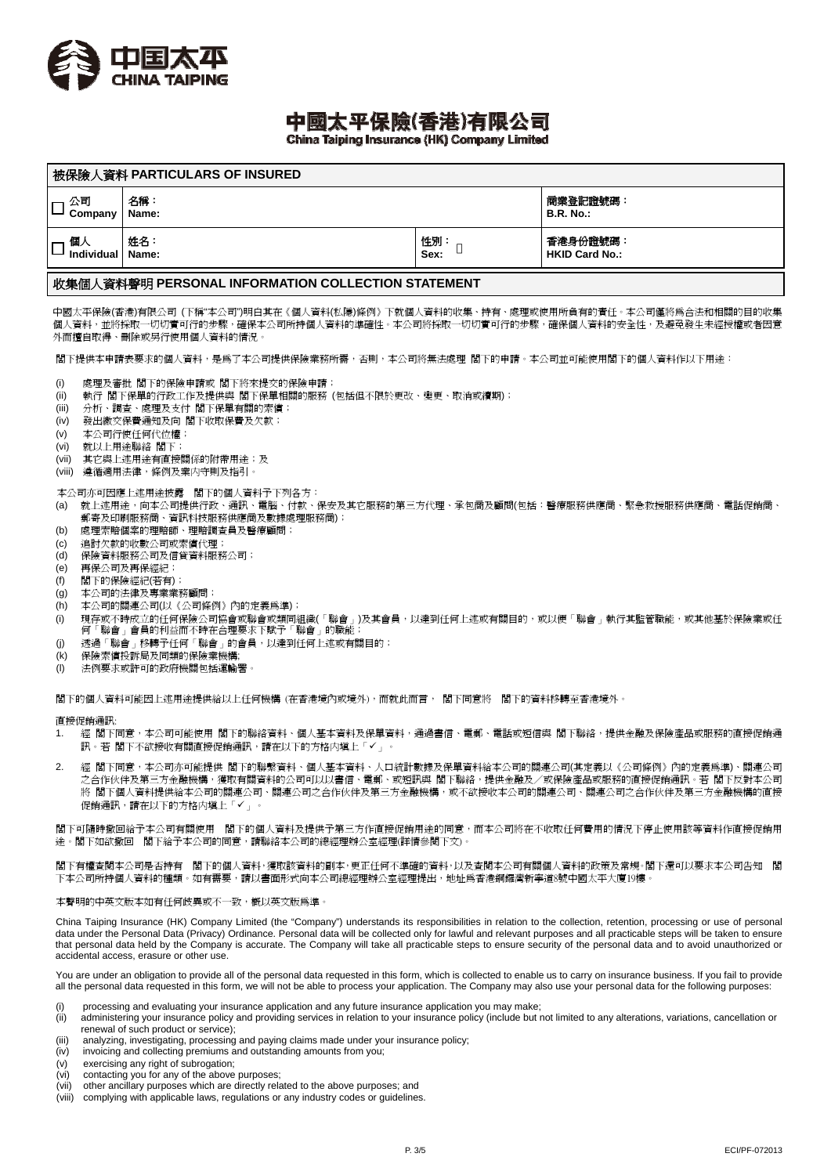

# 中國太平保險(香港)有限公司

China Taiping Insurance (HK) Company Limited

| 被保險人資料 PARTICULARS OF INSURED |       |                  |                       |  |  |  |  |
|-------------------------------|-------|------------------|-----------------------|--|--|--|--|
| 公司                            | 名稱:   | 商業登記證號碼:         |                       |  |  |  |  |
| Company                       | Name: | <b>B.R. No.:</b> |                       |  |  |  |  |
| 個人                            | 姓名:   | 性別               | 香港身份證號碼:              |  |  |  |  |
| Individual   Name:            |       | Sex:             | <b>HKID Card No.:</b> |  |  |  |  |
|                               |       |                  |                       |  |  |  |  |

### 收集個人資料聲明 **PERSONAL INFORMATION COLLECTION STATEMENT**

中國太平保險(香港)有限公司 (下稱"本公司")明白其在《個人資料(私隱)條例》下就個人資料的收集、持有、處理或使用所負有的責任。本公司僅將為合法和相關的目的收集 個人資料,並將採取一切切實可行的步驟,確保本公司所持個人資料的準確性。本公司將採取一切切實可行的步驟,確保個人資料的安全性,及避免發生未經授權或者因意 外而擅自取得、刪除或另行使用個人資料的情況。

閣下提供本申請表要求的個人資料,是為了本公司提供保險業務所需,否則,本公司將無法處理 閣下的申請。本公司並可能使用閣下的個人資料作以下用途:

- (i) 處理及審批 閣下的保險申請或 閣下將來提交的保險申請;
- (ii) 執行 閣下保單的行政工作及提供與 閣下保單相關的服務 (包括但不限於更改、變更、取消或續期);
- (iii) 分析、調查、處理及支付 閣下保單有關的索償;
- (iv) 發出繳交保費通知及向 閣下收取保費及欠款;
- (v) 本公司行使任何代位權;
- (vi) 就以上用途聯絡 閣下;
- (vii) 其它與上述用途有直接關係的附帶用途;及
- (viii) 遵循適用法律,條例及業内守則及指引。

本公司亦可因應上述用途披露 閣下的個人資料予下列各方:

- (a) 就上述用途,向本公司提供行政、通訊、電腦、付款、保安及其它服務的第三方代理、承包商及顧問(包括:醫療服務供應商、緊急救援服務供應商、電話促銷商、 郵寄及印刷服務商、資訊科技服務供應商及數據處理服務商);
- (b) 處理索賠個案的理賠師、理賠調查員及醫療顧問;
- (c) 追討欠款的收數公司或索償代理; (d) 保險資料服務公司及信貸資料服務公司;
- (e) 再保公司及再保經紀;
- (f) 閣下的保險經紀(若有);
- 
- (g) 本公司的法律及專業業務顧問; (h) 本公司的關連公司(以《公司條例》內的定義為準);
- (i) 現存或不時成立的任何保險公司協會或聯會或類同組織(「聯會」)及其會員,以達到任何上述或有關目的,或以便「聯會」執行其監管職能,或其他基於保險業或任 何「聯會」會員的利益而不時在合理要求下賦予「聯會」的職能;
- (j) 透過「聯會」移轉予任何「聯會」的會員,以達到任何上述或有關目的;
- (k) 保險索償投訴局及同類的保險業機構;
- (l) 法例要求或許可的政府機關包括運輸署。

閣下的個人資料可能因上述用途提供給以上任何機構 (在香港境內或境外),而就此而言, 閣下同意將 閣下的資料移轉至香港境外。

#### 直接促銷通訊:

- 1. 經 閣下同意,本公司可能使用 閣下的聯絡資料、個人基本資料及保單資料,通過書信、電郵、電話或短信與 閣下聯絡,提供金融及保險產品或服務的直接促銷通 訊。若 閣下不欲接收有關直接促銷通訊,請在以下的方格内填上「✔」。
- 2. 經 閣下同意,本公司亦可能提供 閣下的聯繫資料、個人基本資料、人口統計數據及保單資料給本公司的關連公司(其定義以《公司條例》內的定義為準)、關連公司 之合作伙伴及第三方金融機構,獲取有關資料的公司可以以書信、電郵、或短訊與 閣下聯絡,提供金融及/或保險產品或服務的直接促銷通訊。若 閣下反對本公司 將 閣下個人資料提供給本公司的關連公司、關連公司之合作伙伴及第三方金融機構,或不欲接收本公司的關連公司、關連公司之合作伙伴及第三方金融機構的直接 促銷通訊,請在以下的方格内填上「」。

閣下可隨時撤回給予本公司有關使用 閣下的個人資料及提供予第三方作直接促銷用途的同意,而本公司將在不收取任何費用的情況下停止使用該等資料作直接促銷用 途。閣下如欲撤回 閣下給予本公司的同意,請聯絡本公司的總經理辦公室經理(詳情參閱下文)。

閣下有權查閱本公司是否持有 閣下的個人資料,獲取該資料的副本,更正任何不準確的資料,以及查閱本公司有關個人資料的政策及常規。閣下還可以要求本公司告知 閣 下本公司所持個人資料的種類。如有需要,請以書面形式向本公司總經理辦公室經理提出,地址爲香港銅鑼灣新寧道8號中國太平大廈19樓。

#### 本聲明的中英文版本如有任何歧異或不一致,概以英文版為準。

China Taiping Insurance (HK) Company Limited (the "Company") understands its responsibilities in relation to the collection, retention, processing or use of personal data under the Personal Data (Privacy) Ordinance. Personal data will be collected only for lawful and relevant purposes and all practicable steps will be taken to ensure that personal data held by the Company is accurate. The Company will take all practicable steps to ensure security of the personal data and to avoid unauthorized or accidental access, erasure or other use.

You are under an obligation to provide all of the personal data requested in this form, which is collected to enable us to carry on insurance business. If you fail to provide all the personal data requested in this form, we will not be able to process your application. The Company may also use your personal data for the following purposes:

- 
- (i) processing and evaluating your insurance application and any future insurance application you may make;<br>(ii) administering your insurance policy and providing services in relation to your insurance policy (include but administering your insurance policy and providing services in relation to your insurance policy (include but not limited to any alterations, variations, cancellation or renewal of such product or service);
- (iii) analyzing, investigating, processing and paying claims made under your insurance policy;
- (iv) invoicing and collecting premiums and outstanding amounts from you;
- (v) exercising any right of subrogation;
- (vi) contacting you for any of the above purposes;
- (vii) other ancillary purposes which are directly related to the above purposes; and
- (viii) complying with applicable laws, regulations or any industry codes or guidelines.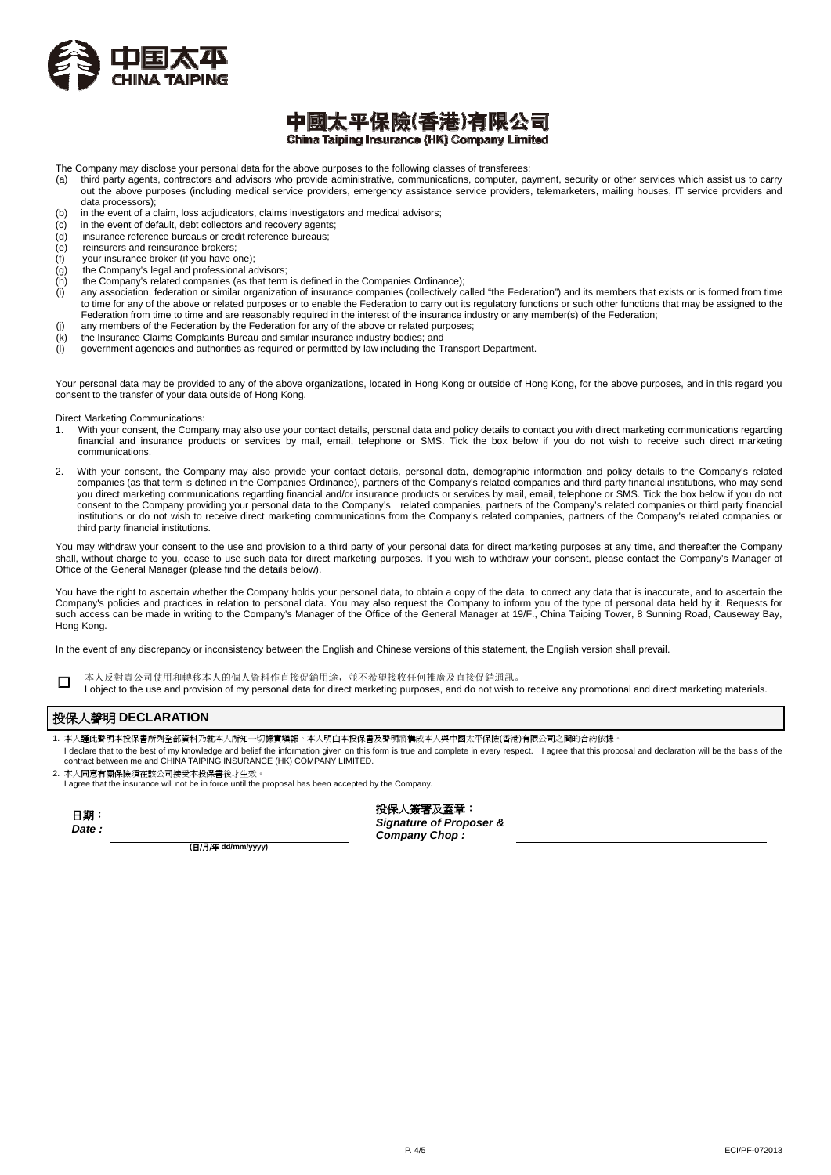

## 中國太平保險(香港)有限公司 China Taiping Insurance (HK) Company Limited

The Company may disclose your personal data for the above purposes to the following classes of transferees:<br>(a) third party agents, contractors and advisors who provide administrative, communications, computer, pa

- third party agents, contractors and advisors who provide administrative, communications, computer, payment, security or other services which assist us to carry out the above purposes (including medical service providers, emergency assistance service providers, telemarketers, mailing houses, IT service providers and data processors);
- (b) in the event of a claim, loss adjudicators, claims investigators and medical advisors;
- (c) in the event of default, debt collectors and recovery agents;
- (d) insurance reference bureaus or credit reference bureaus;
- (e) reinsurers and reinsurance brokers;
- $(f)$  your insurance broker (if you have one);<br>(g) the Company's legal and professional a
- (g) the Company's legal and professional advisors;<br>(h) the Company's related companies (as that term
- the Company's related companies (as that term is defined in the Companies Ordinance);
- (i) any association, federation or similar organization of insurance companies (collectively called "the Federation") and its members that exists or is formed from time to time for any of the above or related purposes or to enable the Federation to carry out its regulatory functions or such other functions that may be assigned to the Federation from time to time and are reasonably required in the interest of the insurance industry or any member(s) of the Federation; (j) any members of the Federation by the Federation for any of the above or related purposes;
- (k) the Insurance Claims Complaints Bureau and similar insurance industry bodies; and
- $\langle l \rangle$  government agencies and authorities as required or permitted by law including the Transport Department.

Your personal data may be provided to any of the above organizations, located in Hong Kong or outside of Hong Kong, for the above purposes, and in this regard you consent to the transfer of your data outside of Hong Kong.

Direct Marketing Communications:

- With your consent, the Company may also use your contact details, personal data and policy details to contact you with direct marketing communications regarding financial and insurance products or services by mail, email, telephone or SMS. Tick the box below if you do not wish to receive such direct marketing communications.
- 2. With your consent, the Company may also provide your contact details, personal data, demographic information and policy details to the Company's related companies (as that term is defined in the Companies Ordinance), partners of the Company's related companies and third party financial institutions, who may send you direct marketing communications regarding financial and/or insurance products or services by mail, email, telephone or SMS. Tick the box below if you do not consent to the Company providing your personal data to the Company's related companies, partners of the Company's related companies or third party financial institutions or do not wish to receive direct marketing communications from the Company's related companies, partners of the Company's related companies or third party financial institutions.

You may withdraw your consent to the use and provision to a third party of your personal data for direct marketing purposes at any time, and thereafter the Company shall, without charge to you, cease to use such data for direct marketing purposes. If you wish to withdraw your consent, please contact the Company's Manager of Office of the General Manager (please find the details below).

You have the right to ascertain whether the Company holds your personal data, to obtain a copy of the data, to correct any data that is inaccurate, and to ascertain the Company's policies and practices in relation to personal data. You may also request the Company to inform you of the type of personal data held by it. Requests for such access can be made in writing to the Company's Manager of the Office of the General Manager at 19/F., China Taiping Tower, 8 Sunning Road, Causeway Bay, Hong Kong.

In the event of any discrepancy or inconsistency between the English and Chinese versions of this statement, the English version shall prevail.

□ 本人反對貴公司使用和轉移本人的個人資料作直接促銷用途,並不希望接收任何推廣及直接促銷通訊。

I object to the use and provision of my personal data for direct marketing purposes, and do not wish to receive any promotional and direct marketing materials.

### 投保人聲明 **DECLARATION**

- 1. 本人謹此聲明本投保書所列全部資料乃就本人所知一切據實填報。本人明白本投保書及聲明將構成本人與中國太平保險(香港)有限公司之間的合約依據。
- l declare that to the best of my knowledge and belief the information given on this form is true and complete in every respect. I agree that this proposal and declaration will be the basis of the<br>contract between me and CH
- 2. 本人同意有關保險須在該公司接受本投保書後才生效。

I agree that the insurance will not be in force until the proposal has been accepted by the Company.

| 期<br>⊣     |  |
|------------|--|
| late<br>., |  |

投保人簽署及蓋章: *Signature of Proposer & Company Chop :* 

**(**日/月/年 **dd/mm/yyyy)**